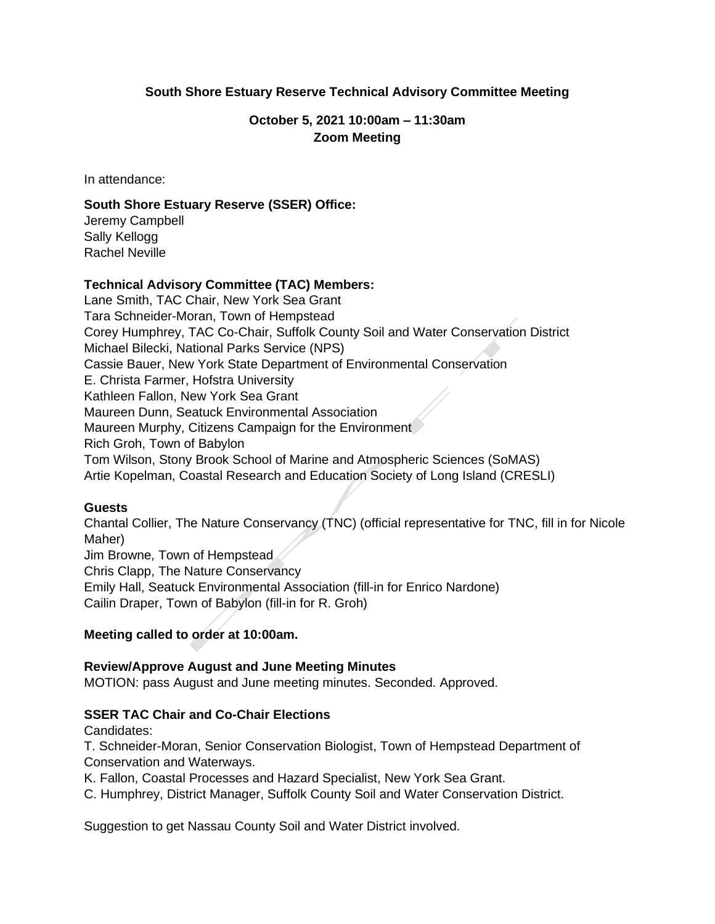# **South Shore Estuary Reserve Technical Advisory Committee Meeting**

# **October 5, 2021 10:00am – 11:30am Zoom Meeting**

In attendance:

# **South Shore Estuary Reserve (SSER) Office:**

Jeremy Campbell Sally Kellogg Rachel Neville

#### **Technical Advisory Committee (TAC) Members:**

Lane Smith, TAC Chair, New York Sea Grant Tara Schneider-Moran, Town of Hempstead Corey Humphrey, TAC Co-Chair, Suffolk County Soil and Water Conservation District Michael Bilecki, National Parks Service (NPS) Cassie Bauer, New York State Department of Environmental Conservation E. Christa Farmer, Hofstra University Kathleen Fallon, New York Sea Grant Maureen Dunn, Seatuck Environmental Association Maureen Murphy, Citizens Campaign for the Environment Rich Groh, Town of Babylon Tom Wilson, Stony Brook School of Marine and Atmospheric Sciences (SoMAS) Artie Kopelman, Coastal Research and Education Society of Long Island (CRESLI)

#### **Guests**

Chantal Collier, The Nature Conservancy (TNC) (official representative for TNC, fill in for Nicole Maher)

Jim Browne, Town of Hempstead Chris Clapp, The Nature Conservancy

Emily Hall, Seatuck Environmental Association (fill-in for Enrico Nardone)

Cailin Draper, Town of Babylon (fill-in for R. Groh)

# **Meeting called to order at 10:00am.**

#### **Review/Approve August and June Meeting Minutes**

MOTION: pass August and June meeting minutes. Seconded. Approved.

# **SSER TAC Chair and Co-Chair Elections**

Candidates:

T. Schneider-Moran, Senior Conservation Biologist, Town of Hempstead Department of Conservation and Waterways.

K. Fallon, Coastal Processes and Hazard Specialist, New York Sea Grant.

C. Humphrey, District Manager, Suffolk County Soil and Water Conservation District.

Suggestion to get Nassau County Soil and Water District involved.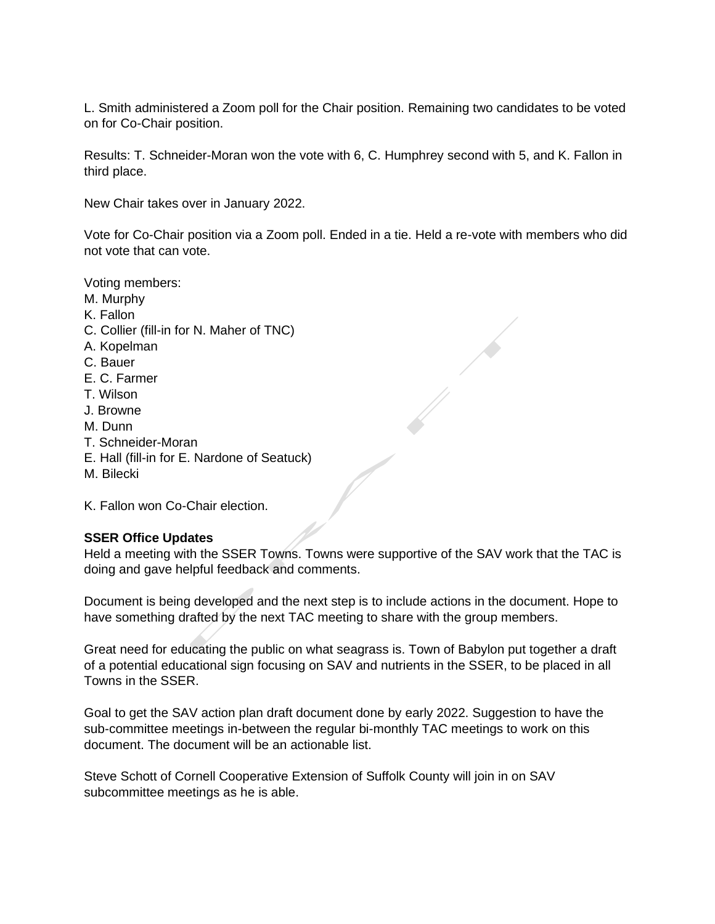L. Smith administered a Zoom poll for the Chair position. Remaining two candidates to be voted on for Co-Chair position.

Results: T. Schneider-Moran won the vote with 6, C. Humphrey second with 5, and K. Fallon in third place.

New Chair takes over in January 2022.

Vote for Co-Chair position via a Zoom poll. Ended in a tie. Held a re-vote with members who did not vote that can vote.

Voting members:

- M. Murphy
- K. Fallon
- C. Collier (fill-in for N. Maher of TNC)
- A. Kopelman
- C. Bauer
- E. C. Farmer
- T. Wilson
- J. Browne
- M. Dunn
- T. Schneider-Moran
- E. Hall (fill-in for E. Nardone of Seatuck)
- M. Bilecki

K. Fallon won Co-Chair election.

# **SSER Office Updates**

Held a meeting with the SSER Towns. Towns were supportive of the SAV work that the TAC is doing and gave helpful feedback and comments.

Document is being developed and the next step is to include actions in the document. Hope to have something drafted by the next TAC meeting to share with the group members.

Great need for educating the public on what seagrass is. Town of Babylon put together a draft of a potential educational sign focusing on SAV and nutrients in the SSER, to be placed in all Towns in the SSER.

Goal to get the SAV action plan draft document done by early 2022. Suggestion to have the sub-committee meetings in-between the regular bi-monthly TAC meetings to work on this document. The document will be an actionable list.

Steve Schott of Cornell Cooperative Extension of Suffolk County will join in on SAV subcommittee meetings as he is able.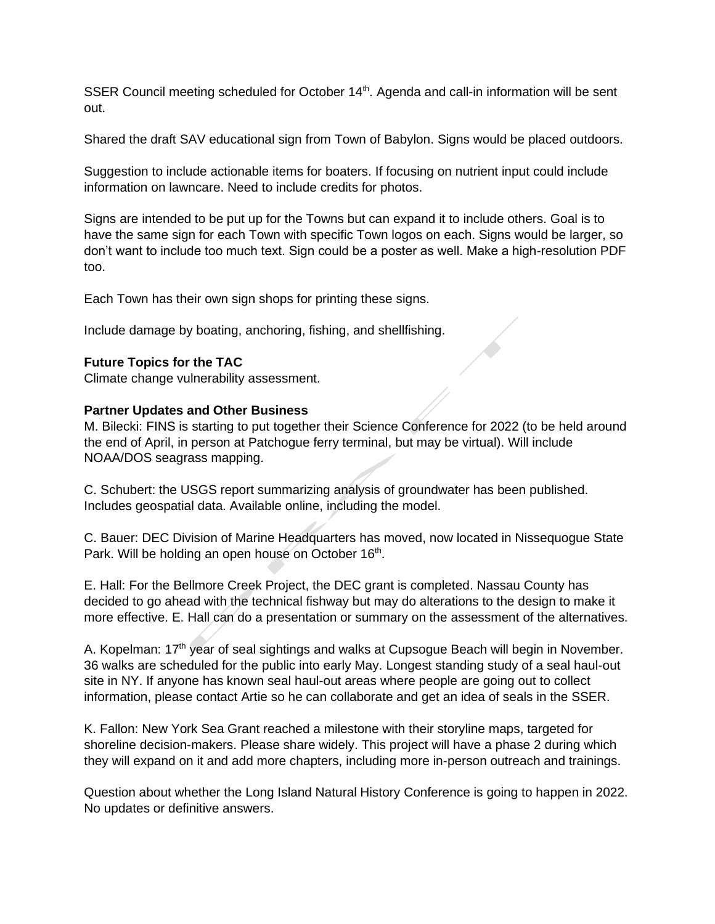SSER Council meeting scheduled for October 14<sup>th</sup>. Agenda and call-in information will be sent out.

Shared the draft SAV educational sign from Town of Babylon. Signs would be placed outdoors.

Suggestion to include actionable items for boaters. If focusing on nutrient input could include information on lawncare. Need to include credits for photos.

Signs are intended to be put up for the Towns but can expand it to include others. Goal is to have the same sign for each Town with specific Town logos on each. Signs would be larger, so don't want to include too much text. Sign could be a poster as well. Make a high-resolution PDF too.

Each Town has their own sign shops for printing these signs.

Include damage by boating, anchoring, fishing, and shellfishing.

#### **Future Topics for the TAC**

Climate change vulnerability assessment.

#### **Partner Updates and Other Business**

M. Bilecki: FINS is starting to put together their Science Conference for 2022 (to be held around the end of April, in person at Patchogue ferry terminal, but may be virtual). Will include NOAA/DOS seagrass mapping.

C. Schubert: the USGS report summarizing analysis of groundwater has been published. Includes geospatial data. Available online, including the model.

C. Bauer: DEC Division of Marine Headquarters has moved, now located in Nissequogue State Park. Will be holding an open house on October 16<sup>th</sup>.

E. Hall: For the Bellmore Creek Project, the DEC grant is completed. Nassau County has decided to go ahead with the technical fishway but may do alterations to the design to make it more effective. E. Hall can do a presentation or summary on the assessment of the alternatives.

A. Kopelman: 17<sup>th</sup> year of seal sightings and walks at Cupsogue Beach will begin in November. 36 walks are scheduled for the public into early May. Longest standing study of a seal haul-out site in NY. If anyone has known seal haul-out areas where people are going out to collect information, please contact Artie so he can collaborate and get an idea of seals in the SSER.

K. Fallon: New York Sea Grant reached a milestone with their storyline maps, targeted for shoreline decision-makers. Please share widely. This project will have a phase 2 during which they will expand on it and add more chapters, including more in-person outreach and trainings.

Question about whether the Long Island Natural History Conference is going to happen in 2022. No updates or definitive answers.